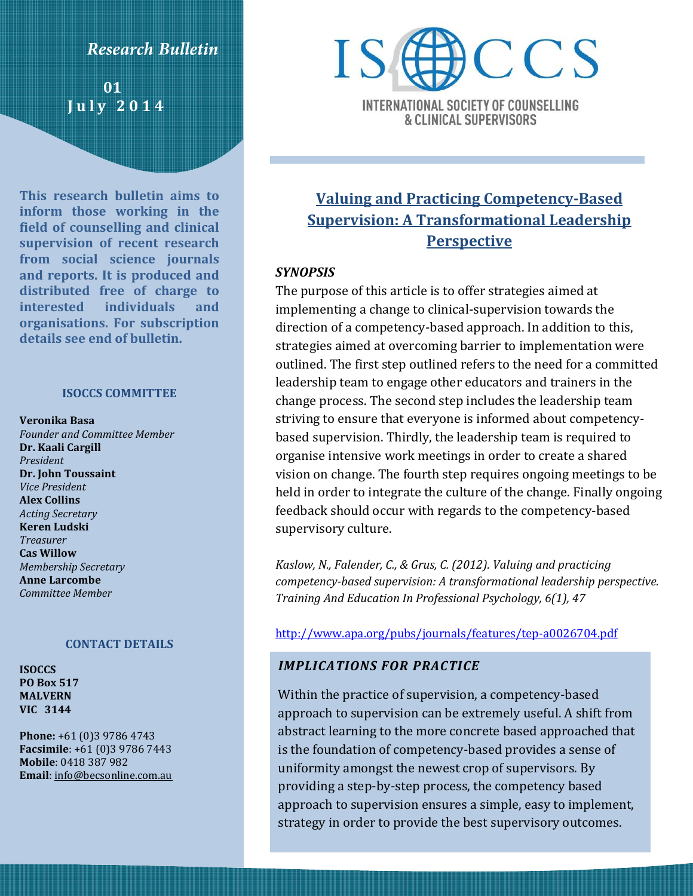## **Research Bulletin**

 **01 J u l y 2014**

**This research bulletin aims to inform those working in the field of counselling and clinical supervision of recent research from social science journals and reports. It is produced and distributed free of charge to interested individuals and organisations. For subscription details see end of bulletin.**

### **ISOCCS COMMITTEE**

- **Veronika Basa**
- *Founder and Committee Member* **Dr. Kaali Cargill** *President* **Dr. John Toussaint** *Vice President* **Alex Collins** *Acting Secretary* **Keren Ludski** *Treasurer* **Cas Willow** *Membership Secretary* **Anne Larcombe** *Committee Member*

### **CONTACT DETAILS**

**ISOCCS PO Box 517 MALVERN VIC 3144**

**Phone:** +61 (0)3 9786 4743 **Facsimile**: +61 (0)3 9786 7443 **Mobile**: 0418 387 982 **Email**[: info@becsonline.com.au](mailto:info@becsonline.com.au)



INTERNATIONAL SOCIETY OF COUNSELLING **& CLINICAL SUPERVISORS** 

# **Valuing and Practicing Competency-Based Supervision: A Transformational Leadership Perspective**

### *SYNOPSIS*

The purpose of this article is to offer strategies aimed at implementing a change to clinical-supervision towards the direction of a competency-based approach. In addition to this, strategies aimed at overcoming barrier to implementation were outlined. The first step outlined refers to the need for a committed leadership team to engage other educators and trainers in the change process. The second step includes the leadership team striving to ensure that everyone is informed about competencybased supervision. Thirdly, the leadership team is required to organise intensive work meetings in order to create a shared vision on change. The fourth step requires ongoing meetings to be held in order to integrate the culture of the change. Finally ongoing feedback should occur with regards to the competency-based supervisory culture.

*Kaslow, N., Falender, C., & Grus, C. (2012). Valuing and practicing competency-based supervision: A transformational leadership perspective. Training And Education In Professional Psychology, 6(1), 47*

### <http://www.apa.org/pubs/journals/features/tep-a0026704.pdf>

### *IMPLICATIONS FOR PRACTICE*

Within the practice of supervision, a competency-based approach to supervision can be extremely useful. A shift from abstract learning to the more concrete based approached that is the foundation of competency-based provides a sense of uniformity amongst the newest crop of supervisors. By providing a step-by-step process, the competency based approach to supervision ensures a simple, easy to implement, strategy in order to provide the best supervisory outcomes.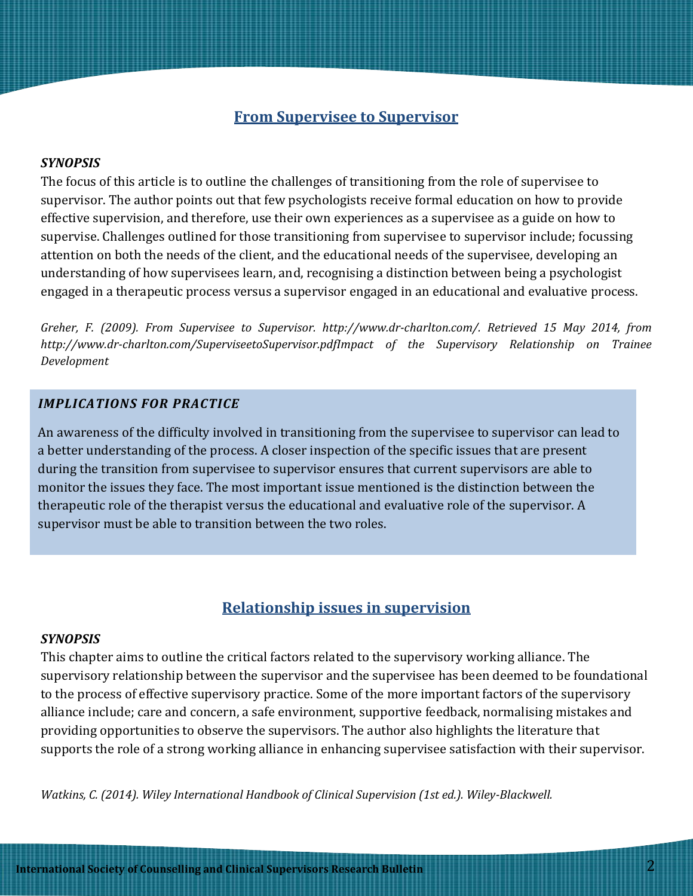## **From Supervisee to Supervisor**

### *SYNOPSIS*

The focus of this article is to outline the challenges of transitioning from the role of supervisee to supervisor. The author points out that few psychologists receive formal education on how to provide effective supervision, and therefore, use their own experiences as a supervisee as a guide on how to supervise. Challenges outlined for those transitioning from supervisee to supervisor include; focussing attention on both the needs of the client, and the educational needs of the supervisee, developing an understanding of how supervisees learn, and, recognising a distinction between being a psychologist engaged in a therapeutic process versus a supervisor engaged in an educational and evaluative process.

*Greher, F. (2009). From Supervisee to Supervisor. http://www.dr-charlton.com/. Retrieved 15 May 2014, from http://www.dr-charlton.com/SuperviseetoSupervisor.pdfImpact of the Supervisory Relationship on Trainee Development*

### *IMPLICATIONS FOR PRACTICE*

An awareness of the difficulty involved in transitioning from the supervisee to supervisor can lead to a better understanding of the process. A closer inspection of the specific issues that are present during the transition from supervisee to supervisor ensures that current supervisors are able to monitor the issues they face. The most important issue mentioned is the distinction between the therapeutic role of the therapist versus the educational and evaluative role of the supervisor. A supervisor must be able to transition between the two roles.

## **Relationship issues in supervision**

### *SYNOPSIS*

This chapter aims to outline the critical factors related to the supervisory working alliance. The supervisory relationship between the supervisor and the supervisee has been deemed to be foundational to the process of effective supervisory practice. Some of the more important factors of the supervisory alliance include; care and concern, a safe environment, supportive feedback, normalising mistakes and providing opportunities to observe the supervisors. The author also highlights the literature that supports the role of a strong working alliance in enhancing supervisee satisfaction with their supervisor.

*Watkins, C. (2014). Wiley International Handbook of Clinical Supervision (1st ed.). Wiley-Blackwell.*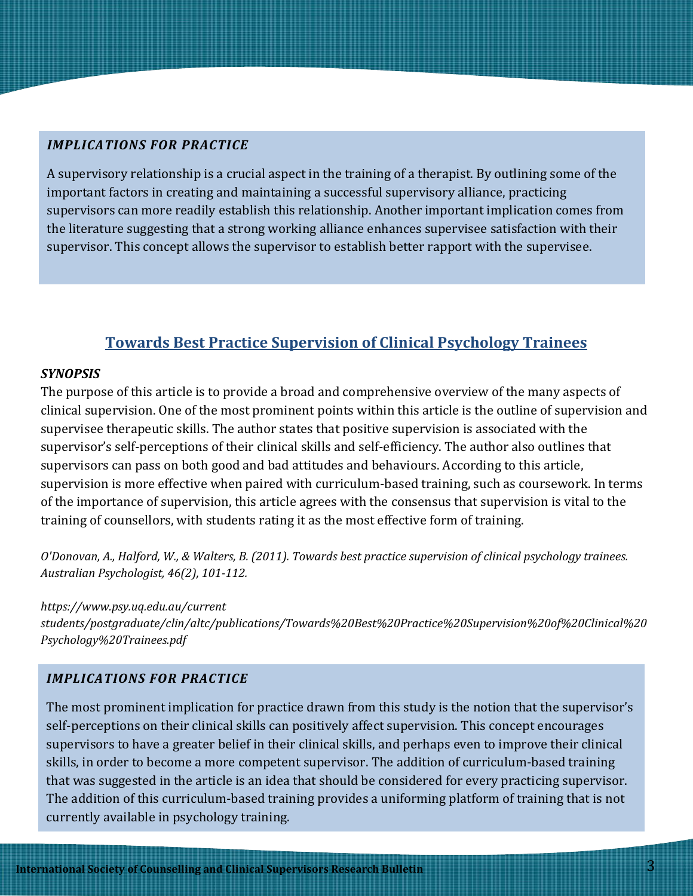## *IMPLICATIONS FOR PRACTICE*

A supervisory relationship is a crucial aspect in the training of a therapist. By outlining some of the important factors in creating and maintaining a successful supervisory alliance, practicing supervisors can more readily establish this relationship. Another important implication comes from the literature suggesting that a strong working alliance enhances supervisee satisfaction with their supervisor. This concept allows the supervisor to establish better rapport with the supervisee.

# **Towards Best Practice Supervision of Clinical Psychology Trainees**

### *SYNOPSIS*

The purpose of this article is to provide a broad and comprehensive overview of the many aspects of clinical supervision. One of the most prominent points within this article is the outline of supervision and supervisee therapeutic skills. The author states that positive supervision is associated with the supervisor's self-perceptions of their clinical skills and self-efficiency. The author also outlines that supervisors can pass on both good and bad attitudes and behaviours. According to this article, supervision is more effective when paired with curriculum-based training, such as coursework. In terms of the importance of supervision, this article agrees with the consensus that supervision is vital to the training of counsellors, with students rating it as the most effective form of training.

*O'Donovan, A., Halford, W., & Walters, B. (2011). Towards best practice supervision of clinical psychology trainees. Australian Psychologist, 46(2), 101-112.*

### *https://www.psy.uq.edu.au/current*

*students/postgraduate/clin/altc/publications/Towards%20Best%20Practice%20Supervision%20of%20Clinical%20 Psychology%20Trainees.pdf*

## *IMPLICATIONS FOR PRACTICE*

The most prominent implication for practice drawn from this study is the notion that the supervisor's self-perceptions on their clinical skills can positively affect supervision. This concept encourages supervisors to have a greater belief in their clinical skills, and perhaps even to improve their clinical skills, in order to become a more competent supervisor. The addition of curriculum-based training that was suggested in the article is an idea that should be considered for every practicing supervisor. The addition of this curriculum-based training provides a uniforming platform of training that is not currently available in psychology training.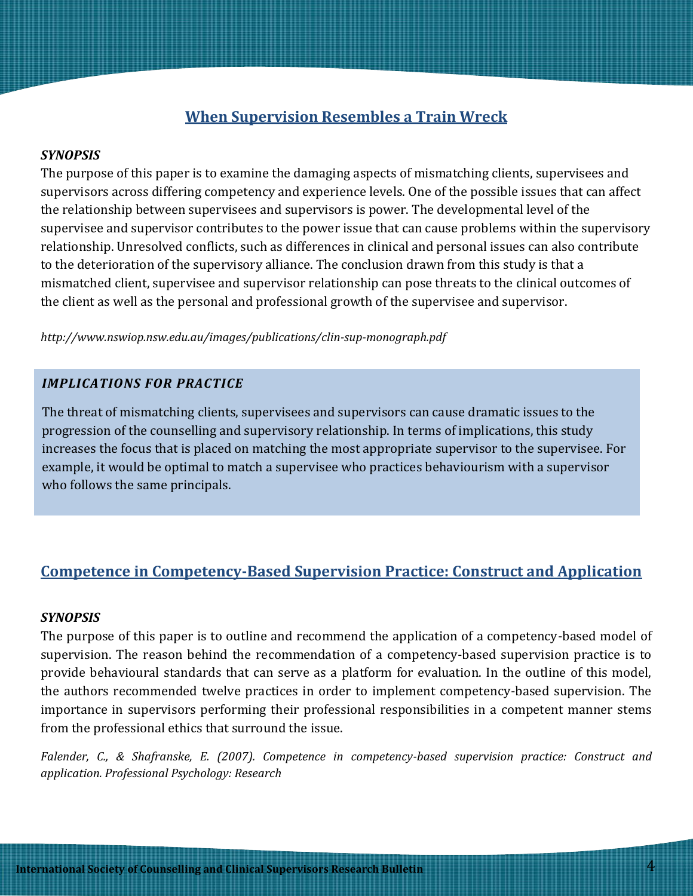# **When Supervision Resembles a Train Wreck**

### *SYNOPSIS*

The purpose of this paper is to examine the damaging aspects of mismatching clients, supervisees and supervisors across differing competency and experience levels. One of the possible issues that can affect the relationship between supervisees and supervisors is power. The developmental level of the supervisee and supervisor contributes to the power issue that can cause problems within the supervisory relationship. Unresolved conflicts, such as differences in clinical and personal issues can also contribute to the deterioration of the supervisory alliance. The conclusion drawn from this study is that a mismatched client, supervisee and supervisor relationship can pose threats to the clinical outcomes of the client as well as the personal and professional growth of the supervisee and supervisor.

*http://www.nswiop.nsw.edu.au/images/publications/clin-sup-monograph.pdf*

### *IMPLICATIONS FOR PRACTICE*

The threat of mismatching clients, supervisees and supervisors can cause dramatic issues to the progression of the counselling and supervisory relationship. In terms of implications, this study increases the focus that is placed on matching the most appropriate supervisor to the supervisee. For example, it would be optimal to match a supervisee who practices behaviourism with a supervisor who follows the same principals.

# **Competence in Competency-Based Supervision Practice: Construct and Application**

### *SYNOPSIS*

The purpose of this paper is to outline and recommend the application of a competency-based model of supervision. The reason behind the recommendation of a competency-based supervision practice is to provide behavioural standards that can serve as a platform for evaluation. In the outline of this model, the authors recommended twelve practices in order to implement competency-based supervision. The importance in supervisors performing their professional responsibilities in a competent manner stems from the professional ethics that surround the issue.

*Falender, C., & Shafranske, E. (2007). Competence in competency-based supervision practice: Construct and application. Professional Psychology: Research*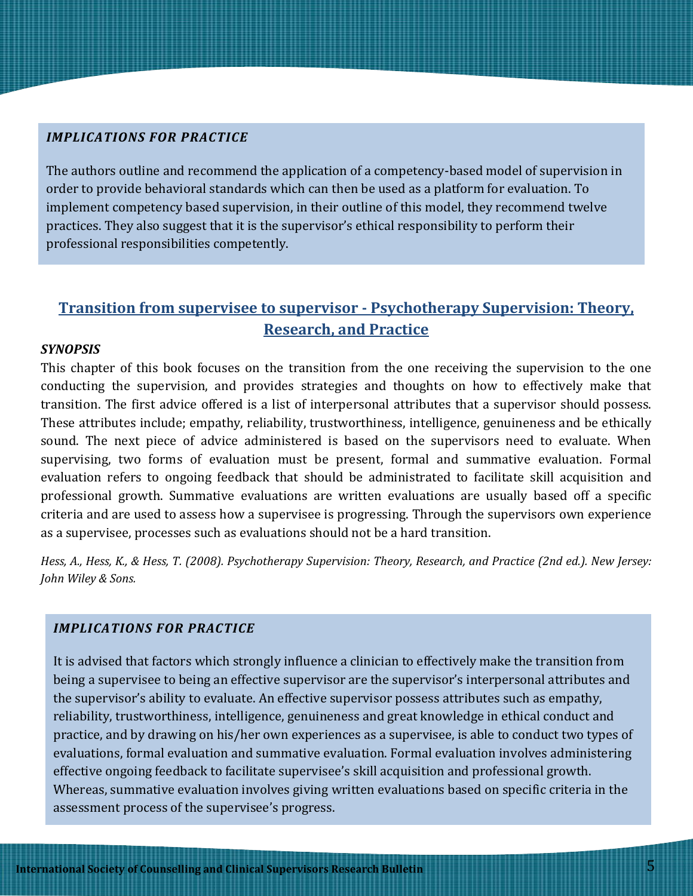### *IMPLICATIONS FOR PRACTICE*

The authors outline and recommend the application of a competency-based model of supervision in order to provide behavioral standards which can then be used as a platform for evaluation. To implement competency based supervision, in their outline of this model, they recommend twelve practices. They also suggest that it is the supervisor's ethical responsibility to perform their professional responsibilities competently.

# **Transition from supervisee to supervisor - Psychotherapy Supervision: Theory, Research, and Practice**

### *SYNOPSIS*

This chapter of this book focuses on the transition from the one receiving the supervision to the one conducting the supervision, and provides strategies and thoughts on how to effectively make that transition. The first advice offered is a list of interpersonal attributes that a supervisor should possess. These attributes include; empathy, reliability, trustworthiness, intelligence, genuineness and be ethically sound. The next piece of advice administered is based on the supervisors need to evaluate. When supervising, two forms of evaluation must be present, formal and summative evaluation. Formal evaluation refers to ongoing feedback that should be administrated to facilitate skill acquisition and professional growth. Summative evaluations are written evaluations are usually based off a specific criteria and are used to assess how a supervisee is progressing. Through the supervisors own experience as a supervisee, processes such as evaluations should not be a hard transition.

*Hess, A., Hess, K., & Hess, T. (2008). Psychotherapy Supervision: Theory, Research, and Practice (2nd ed.). New Jersey: John Wiley & Sons.*

### *IMPLICATIONS FOR PRACTICE*

It is advised that factors which strongly influence a clinician to effectively make the transition from being a supervisee to being an effective supervisor are the supervisor's interpersonal attributes and the supervisor's ability to evaluate. An effective supervisor possess attributes such as empathy, reliability, trustworthiness, intelligence, genuineness and great knowledge in ethical conduct and practice, and by drawing on his/her own experiences as a supervisee, is able to conduct two types of evaluations, formal evaluation and summative evaluation. Formal evaluation involves administering effective ongoing feedback to facilitate supervisee's skill acquisition and professional growth. Whereas, summative evaluation involves giving written evaluations based on specific criteria in the assessment process of the supervisee's progress.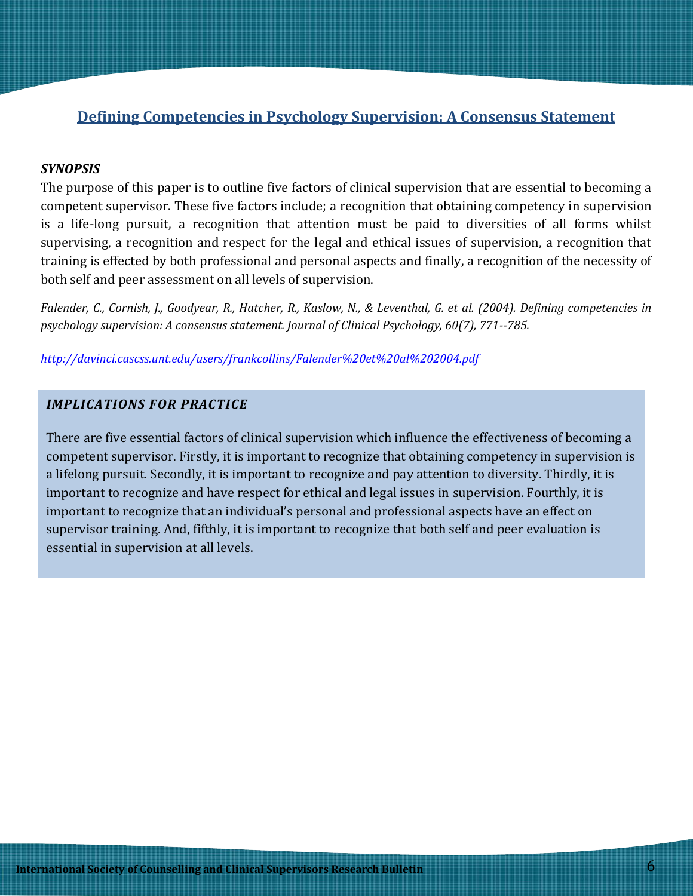# **Defining Competencies in Psychology Supervision: A Consensus Statement**

### *SYNOPSIS*

The purpose of this paper is to outline five factors of clinical supervision that are essential to becoming a competent supervisor. These five factors include; a recognition that obtaining competency in supervision is a life-long pursuit, a recognition that attention must be paid to diversities of all forms whilst supervising, a recognition and respect for the legal and ethical issues of supervision, a recognition that training is effected by both professional and personal aspects and finally, a recognition of the necessity of both self and peer assessment on all levels of supervision.

*Falender, C., Cornish, J., Goodyear, R., Hatcher, R., Kaslow, N., & Leventhal, G. et al. (2004). Defining competencies in psychology supervision: A consensus statement. Journal of Clinical Psychology, 60(7), 771--785.*

*<http://davinci.cascss.unt.edu/users/frankcollins/Falender%20et%20al%202004.pdf>*

## *IMPLICATIONS FOR PRACTICE*

There are five essential factors of clinical supervision which influence the effectiveness of becoming a competent supervisor. Firstly, it is important to recognize that obtaining competency in supervision is a lifelong pursuit. Secondly, it is important to recognize and pay attention to diversity. Thirdly, it is important to recognize and have respect for ethical and legal issues in supervision. Fourthly, it is important to recognize that an individual's personal and professional aspects have an effect on supervisor training. And, fifthly, it is important to recognize that both self and peer evaluation is essential in supervision at all levels.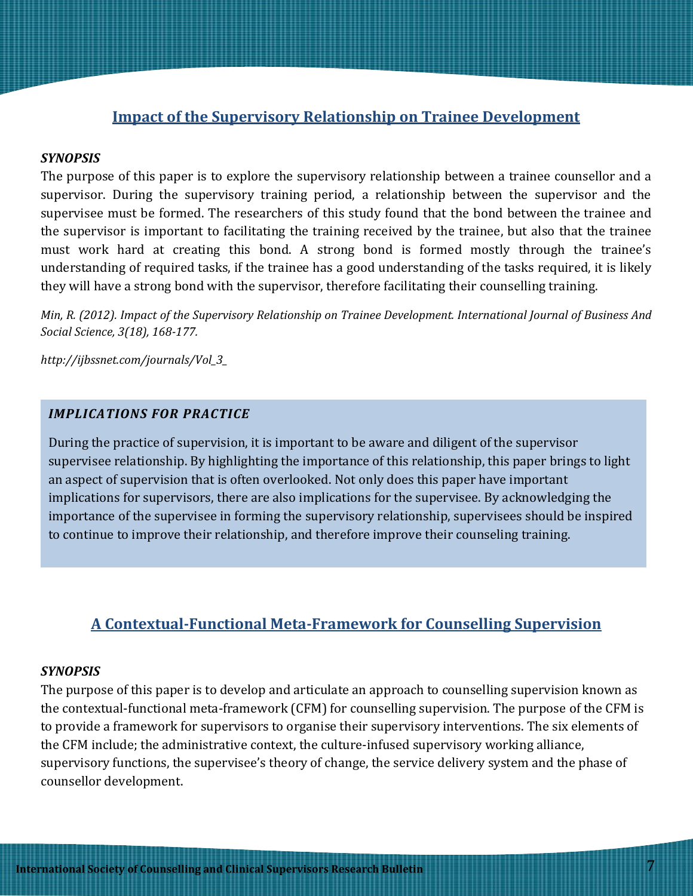## **Impact of the Supervisory Relationship on Trainee Development**

### *SYNOPSIS*

The purpose of this paper is to explore the supervisory relationship between a trainee counsellor and a supervisor. During the supervisory training period, a relationship between the supervisor and the supervisee must be formed. The researchers of this study found that the bond between the trainee and the supervisor is important to facilitating the training received by the trainee, but also that the trainee must work hard at creating this bond. A strong bond is formed mostly through the trainee's understanding of required tasks, if the trainee has a good understanding of the tasks required, it is likely they will have a strong bond with the supervisor, therefore facilitating their counselling training.

*Min, R. (2012). Impact of the Supervisory Relationship on Trainee Development. International Journal of Business And Social Science, 3(18), 168-177.*

*http://ijbssnet.com/journals/Vol\_3\_*

## *IMPLICATIONS FOR PRACTICE*

During the practice of supervision, it is important to be aware and diligent of the supervisor supervisee relationship. By highlighting the importance of this relationship, this paper brings to light an aspect of supervision that is often overlooked. Not only does this paper have important implications for supervisors, there are also implications for the supervisee. By acknowledging the importance of the supervisee in forming the supervisory relationship, supervisees should be inspired to continue to improve their relationship, and therefore improve their counseling training.

# **A Contextual-Functional Meta-Framework for Counselling Supervision**

### *SYNOPSIS*

The purpose of this paper is to develop and articulate an approach to counselling supervision known as the contextual-functional meta-framework (CFM) for counselling supervision. The purpose of the CFM is to provide a framework for supervisors to organise their supervisory interventions. The six elements of the CFM include; the administrative context, the culture-infused supervisory working alliance, supervisory functions, the supervisee's theory of change, the service delivery system and the phase of counsellor development.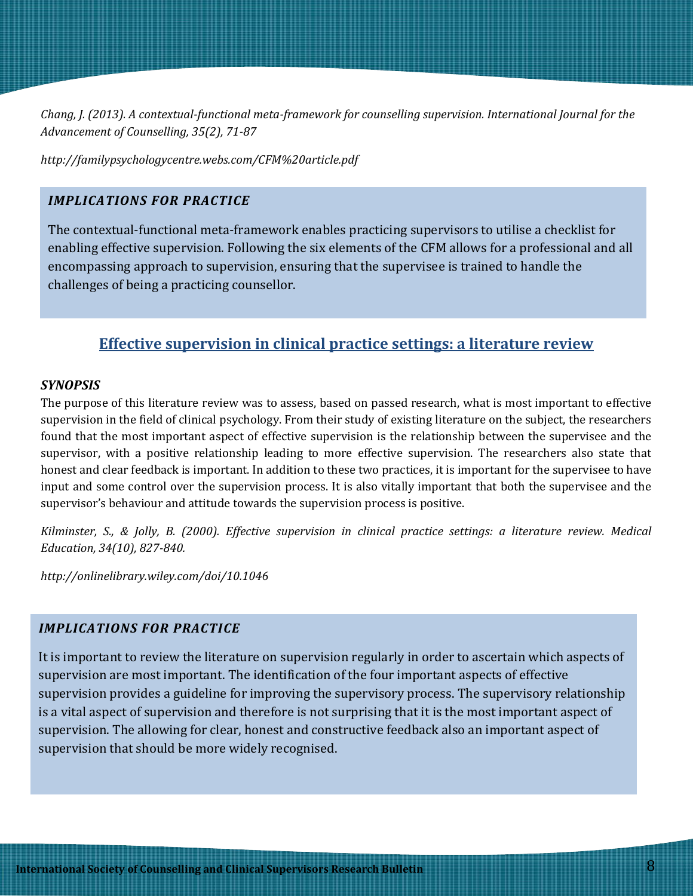*Chang, J. (2013). A contextual-functional meta-framework for counselling supervision. International Journal for the Advancement of Counselling, 35(2), 71-87*

*http://familypsychologycentre.webs.com/CFM%20article.pdf*

### *IMPLICATIONS FOR PRACTICE*

The contextual-functional meta-framework enables practicing supervisors to utilise a checklist for enabling effective supervision. Following the six elements of the CFM allows for a professional and all encompassing approach to supervision, ensuring that the supervisee is trained to handle the challenges of being a practicing counsellor.

## **Effective supervision in clinical practice settings: a literature review**

### *SYNOPSIS*

The purpose of this literature review was to assess, based on passed research, what is most important to effective supervision in the field of clinical psychology. From their study of existing literature on the subject, the researchers found that the most important aspect of effective supervision is the relationship between the supervisee and the supervisor, with a positive relationship leading to more effective supervision. The researchers also state that honest and clear feedback is important. In addition to these two practices, it is important for the supervisee to have input and some control over the supervision process. It is also vitally important that both the supervisee and the supervisor's behaviour and attitude towards the supervision process is positive.

*Kilminster, S., & Jolly, B. (2000). Effective supervision in clinical practice settings: a literature review. Medical Education, 34(10), 827-840.*

*http://onlinelibrary.wiley.com/doi/10.1046*

### *IMPLICATIONS FOR PRACTICE*

It is important to review the literature on supervision regularly in order to ascertain which aspects of supervision are most important. The identification of the four important aspects of effective supervision provides a guideline for improving the supervisory process. The supervisory relationship is a vital aspect of supervision and therefore is not surprising that it is the most important aspect of supervision. The allowing for clear, honest and constructive feedback also an important aspect of supervision that should be more widely recognised.